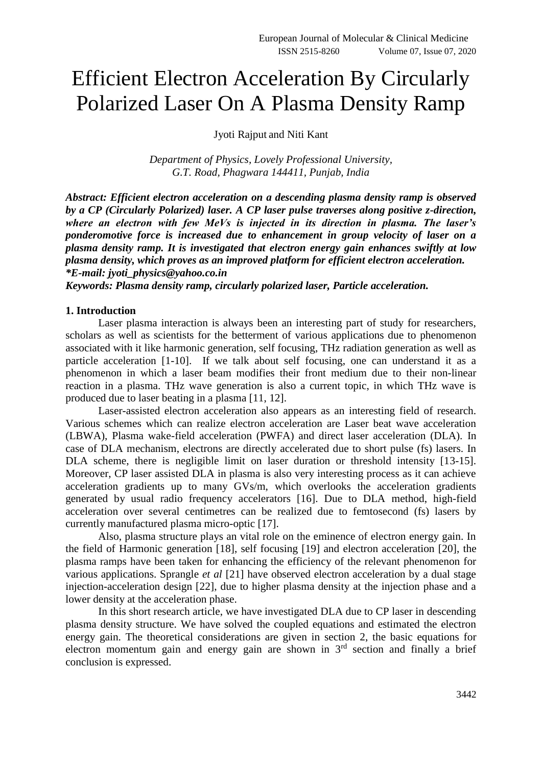# Efficient Electron Acceleration By Circularly Polarized Laser On A Plasma Density Ramp

Jyoti Rajput and Niti Kant

*Department of Physics, Lovely Professional University, G.T. Road, Phagwara 144411, Punjab, India*

*Abstract: Efficient electron acceleration on a descending plasma density ramp is observed by a CP (Circularly Polarized) laser. A CP laser pulse traverses along positive z-direction, where an electron with few MeVs is injected in its direction in plasma. The laser's ponderomotive force is increased due to enhancement in group velocity of laser on a plasma density ramp. It is investigated that electron energy gain enhances swiftly at low plasma density, which proves as an improved platform for efficient electron acceleration. \*E-mail: jyoti\_physics@yahoo.co.in*

*Keywords: Plasma density ramp, circularly polarized laser, Particle acceleration.*

### **1. Introduction**

Laser plasma interaction is always been an interesting part of study for researchers, scholars as well as scientists for the betterment of various applications due to phenomenon associated with it like harmonic generation, self focusing, THz radiation generation as well as particle acceleration [1-10]. If we talk about self focusing, one can understand it as a phenomenon in which a laser beam modifies their front medium due to their non-linear reaction in a plasma. THz wave generation is also a current topic, in which THz wave is produced due to laser beating in a plasma [11, 12].

Laser-assisted electron acceleration also appears as an interesting field of research. Various schemes which can realize electron acceleration are Laser beat wave acceleration (LBWA), Plasma wake-field acceleration (PWFA) and direct laser acceleration (DLA). In case of DLA mechanism, electrons are directly accelerated due to short pulse (fs) lasers. In DLA scheme, there is negligible limit on laser duration or threshold intensity [13-15]. Moreover, CP laser assisted DLA in plasma is also very interesting process as it can achieve acceleration gradients up to many GVs/m, which overlooks the acceleration gradients generated by usual radio frequency accelerators [16]. Due to DLA method, high-field acceleration over several centimetres can be realized due to femtosecond (fs) lasers by currently manufactured plasma micro-optic [17].

Also, plasma structure plays an vital role on the eminence of electron energy gain. In the field of Harmonic generation [18], self focusing [19] and electron acceleration [20], the plasma ramps have been taken for enhancing the efficiency of the relevant phenomenon for various applications. Sprangle *et al* [21] have observed electron acceleration by a dual stage injection-acceleration design [22], due to higher plasma density at the injection phase and a lower density at the acceleration phase.

In this short research article, we have investigated DLA due to CP laser in descending plasma density structure. We have solved the coupled equations and estimated the electron energy gain. The theoretical considerations are given in section 2, the basic equations for electron momentum gain and energy gain are shown in  $3<sup>rd</sup>$  section and finally a brief conclusion is expressed.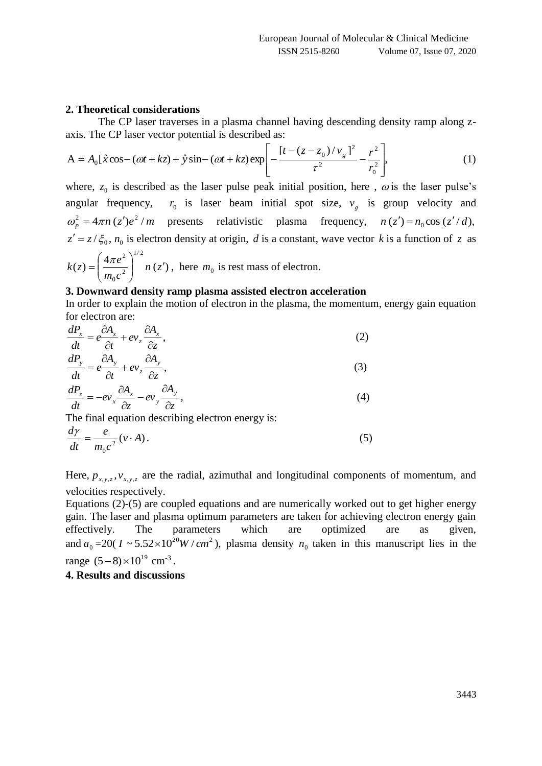## **2. Theoretical considerations**

axis. The CP laser vector potential is described as:

The CP laser traverses in a plasma channel having descending density ramp along z-  
axis. The CP laser vector potential is described as:  

$$
A = A_0 \left[ \hat{x} \cos - (\omega t + kz) + \hat{y} \sin - (\omega t + kz) \exp \left[ -\frac{\left[ t - (z - z_0)/v_g \right]^2}{\tau^2} - \frac{r^2}{r_0^2} \right],
$$
(1)

where,  $z_0$  is described as the laser pulse peak initial position, here,  $\omega$  is the laser pulse's angular frequency,  $r_0$  is laser beam initial spot size,  $v_g$  is group velocity and  $\omega_p^2 = 4\pi n (z')e^2 / m$  presents relativistic plasma frequency,  $n (z') = n_0 \cos (z'/d)$ ,  $z' = z/\xi_0$ ,  $n_0$  is electron density at origin, *d* is a constant, wave vector *k* is a function of *z* as  $(4\pi e^2)^{1/2}$  $\pi$ 

$$
k(z) = \left(\frac{4\pi e^z}{m_0 c^2}\right) \quad n(z'), \text{ here } m_0 \text{ is rest mass of electron.}
$$

### **3. Downward density ramp plasma assisted electron acceleration**

In order to explain the motion of electron in the plasma, the momentum, energy gain equation for electron are:

$$
\frac{dP_x}{dt} = e \frac{\partial A_x}{\partial t} + ev_z \frac{\partial A_x}{\partial z},
$$
\n
$$
\frac{dP}{d\theta} = \frac{\partial A}{\partial t} \frac{\partial A}{\partial t}
$$
\n(2)

$$
\frac{dP_y}{dt} = e \frac{\partial A_y}{\partial t} + ev_z \frac{\partial A_y}{\partial z},
$$
\n(3)

$$
\frac{dP_z}{dt} = -ev_x \frac{\partial A_x}{\partial z} - ev_y \frac{\partial A_y}{\partial z},\tag{4}
$$

The final equation describing electron energy is:

$$
\frac{d\gamma}{dt} = \frac{e}{m_0 c^2} (\nu \cdot A). \tag{5}
$$

Here,  $p_{x,y,z}$ ,  $v_{x,y,z}$  are the radial, azimuthal and longitudinal components of momentum, and velocities respectively.

Equations (2)-(5) are coupled equations and are numerically worked out to get higher energy gain. The laser and plasma optimum parameters are taken for achieving electron energy gain effectively. The parameters which are optimized are as given, and  $a_0 = 20(I \sim 5.52 \times 10^{20} W/cm^2)$ , plasma density  $n_0$  taken in this manuscript lies in the range  $(5-8) \times 10^{19}$  cm<sup>-3</sup>.

# **4. Results and discussions**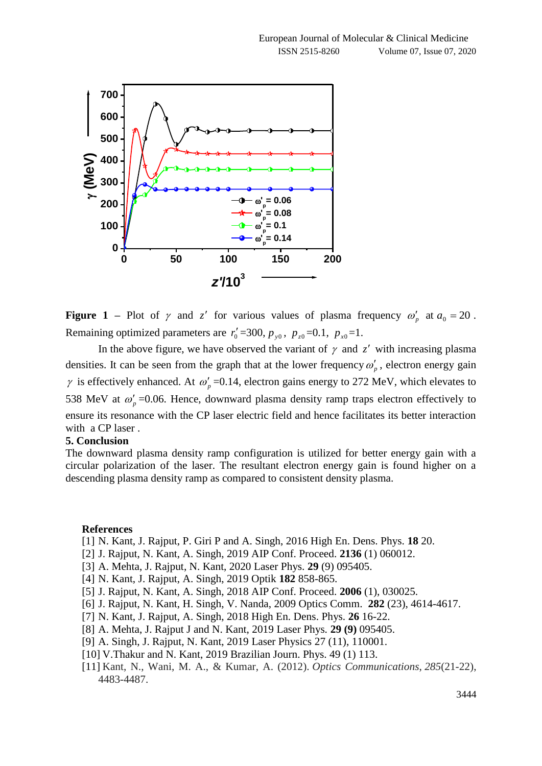

**Figure 1** – Plot of  $\gamma$  and  $z'$  for various values of plasma frequency  $\omega_p'$  at  $a_0 = 20$ . Remaining optimized parameters are  $r'_0 = 300$ ,  $p_{y0}$ ,  $p_{z0} = 0.1$ ,  $p_{x0} = 1$ .

In the above figure, we have observed the variant of  $\gamma$  and  $z'$  with increasing plasma densities. It can be seen from the graph that at the lower frequency  $\omega_p^{\prime}$ , electron energy gain  $\gamma$  is effectively enhanced. At  $\omega_p'$  =0.14, electron gains energy to 272 MeV, which elevates to 538 MeV at  $\omega_p'$  =0.06. Hence, downward plasma density ramp traps electron effectively to ensure its resonance with the CP laser electric field and hence facilitates its better interaction with a CP laser .

#### **5. Conclusion**

The downward plasma density ramp configuration is utilized for better energy gain with a circular polarization of the laser. The resultant electron energy gain is found higher on a descending plasma density ramp as compared to consistent density plasma.

#### **References**

- [1] N. Kant, J. Rajput, P. Giri P and A. Singh, 2016 High En. Dens. Phys. **18** 20.
- [2] J. Rajput, N. Kant, A. Singh, 2019 AIP Conf. Proceed. **2136** (1) 060012.
- [3] A. Mehta, J. Rajput, N. Kant, 2020 Laser Phys. **29** (9) 095405.
- [4] N. Kant, J. Rajput, A. Singh, 2019 Optik **182** 858-865.
- [5] J. Rajput, N. Kant, A. Singh, 2018 AIP Conf. Proceed. **2006** (1), 030025.
- [6] J. Rajput, N. Kant, H. Singh, V. Nanda, 2009 Optics Comm. **282** (23), 4614-4617.
- [7] N. Kant, J. Rajput, A. Singh, 2018 High En. Dens. Phys. **26** 16-22.
- [8] A. Mehta, J. Rajput J and N. Kant, 2019 Laser Phys*.* **29 (9)** 095405.
- [9] A. Singh, J. Rajput, N. Kant, 2019 Laser Physics 27 (11), 110001.
- [10] V.Thakur and N. Kant, 2019 Brazilian Journ. Phys. 49 (1) 113.
- [11] Kant, N., Wani, M. A., & Kumar, A. (2012). *Optics Communications*, *285*(21-22), 4483-4487.